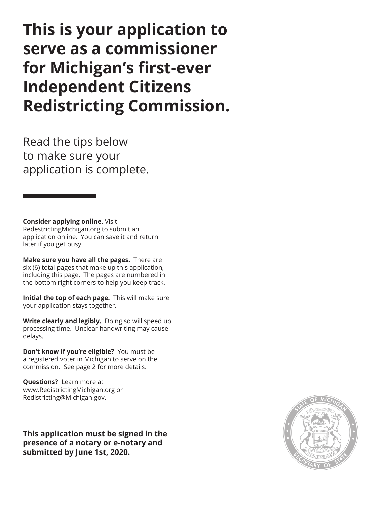# **This is your application to serve as a commissioner for Michigan's first-ever Independent Citizens Redistricting Commission.**

Read the tips below to make sure your application is complete.

**Consider applying online.** Visit RedestrictingMichigan.org to submit an application online. You can save it and return later if you get busy.

**Make sure you have all the pages.** There are six (6) total pages that make up this application, including this page. The pages are numbered in the bottom right corners to help you keep track.

**Initial the top of each page.** This will make sure your application stays together.

**Write clearly and legibly.** Doing so will speed up processing time. Unclear handwriting may cause delays.

**Don't know if you're eligible?** You must be a registered voter in Michigan to serve on the commission. See page 2 for more details.

**Questions?** Learn more at www.RedistrictingMichigan.org or Redistricting@Michigan.gov.

**This application must be signed in the presence of a notary or e-notary and submitted by June 1st, 2020.**

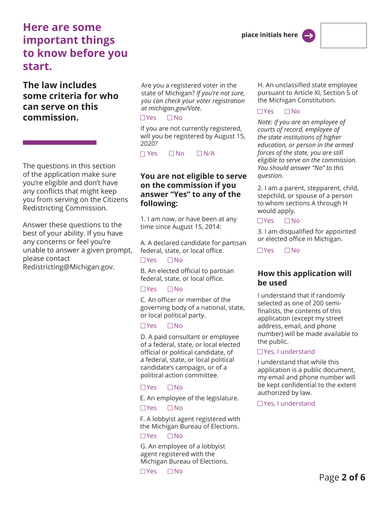# **Here are some important things to know before you start.**

### **The law includes some criteria for who can serve on this commission.**

The questions in this section of the application make sure you're eligible and don't have any conflicts that might keep you from serving on the Citizens Redistricting Commission.

Answer these questions to the best of your ability. If you have any concerns or feel you're unable to answer a given prompt, please contact Redistricting@Michigan.gov.

Are you a registered voter in the state of Michigan? *If you're not sure, you can check your voter registration at michigan.gov/Vote.*

#### $\Box$  Yes  $\Box$  No

If you are not currently registered, will you be registered by August 15, 2020?

 $\Box$  Yes  $\Box$  No  $\Box$  N/A

#### **You are not eligible to serve on the commission if you answer "Yes" to any of the following:**

1. I am now, or have been at any time since August 15, 2014:

A. A declared candidate for partisan federal, state, or local office.  $\Box$  Yes  $\Box$  No

B. An elected official to partisan federal, state, or local office.

#### $\Box$ Yes  $\Box$ No

C. An officer or member of the governing body of a national, state, or local political party.

#### $\Box$  Yes  $\Box$  No

D. A paid consultant or employee of a federal, state, or local elected official or political candidate, of a federal, state, or local political candidate's campaign, or of a political action committee.

#### $\Box$  Yes  $\Box$  No

E. An employee of the legislature.  $\Box$  Yes  $\Box$  No

F. A lobbyist agent registered with the Michigan Bureau of Elections.  $\Box$ Yes  $\Box$ No

G. An employee of a lobbyist agent registered with the Michigan Bureau of Elections.

 $\Box$ Yes  $\Box$ No

H. An unclassified state employee pursuant to Article XI, Section 5 of the Michigan Constitution.

#### $\Box$  Yes  $\Box$  No

*Note: If you are an employee of courts of record, employee of the state institutions of higher education, or person in the armed forces of the state, you are still eligible to serve on the commission. You should answer "No" to this question.* 

2. I am a parent, stepparent, child, stepchild, or spouse of a person to whom sections A through H would apply.

#### $\Box$ Yes  $\Box$ No

3. I am disqualified for appointed or elected office in Michigan.

 $\Box$  Yes  $\Box$  No

#### **How this application will be used**

I understand that if randomly selected as one of 200 semifinalists, the contents of this application (except my street address, email, and phone number) will be made available to the public.

#### □Yes, I understand

I understand that while this application is a public document, my email and phone number will be kept confidential to the extent authorized by law.

□Yes, I understand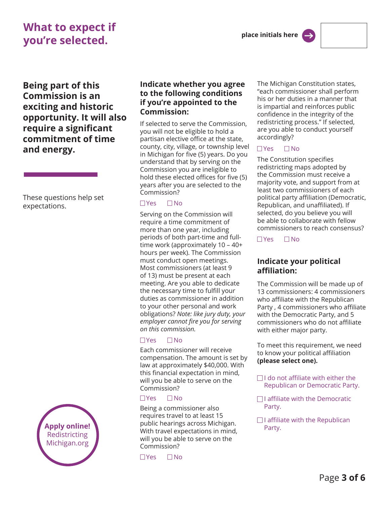# **What to expect if you're selected.**

**Being part of this Commission is an exciting and historic opportunity. It will also require a significant commitment of time and energy.** 

These questions help set expectations.



#### **Indicate whether you agree to the following conditions if you're appointed to the Commission:**

If selected to serve the Commission, you will not be eligible to hold a partisan elective office at the state, county, city, village, or township level in Michigan for five (5) years. Do you understand that by serving on the Commission you are ineligible to hold these elected offices for five (5) years after you are selected to the Commission?

#### $\Box$  Yes  $\Box$  No

Serving on the Commission will require a time commitment of more than one year, including periods of both part-time and fulltime work (approximately 10 – 40+ hours per week). The Commission must conduct open meetings. Most commissioners (at least 9 of 13) must be present at each meeting. Are you able to dedicate the necessary time to fulfill your duties as commissioner in addition to your other personal and work obligations? *Note: like jury duty, your employer cannot fire you for serving on this commission.*

#### $\Box$  Yes  $\Box$  No

Each commissioner will receive compensation. The amount is set by law at approximately \$40,000. With this financial expectation in mind, will you be able to serve on the Commission?

#### $\Box$ Yes  $\Box$ No

Being a commissioner also requires travel to at least 15 public hearings across Michigan. With travel expectations in mind, will you be able to serve on the Commission?

 $\Box$ Yes  $\Box$ No

The Michigan Constitution states, "each commissioner shall perform his or her duties in a manner that is impartial and reinforces public confidence in the integrity of the redistricting process." If selected, are you able to conduct yourself accordingly?

#### $\Box$ Yes  $\Box$ No

The Constitution specifies redistricting maps adopted by the Commission must receive a majority vote, and support from at least two commissioners of each political party affiliation (Democratic, Republican, and unaffiliated). If selected, do you believe you will be able to collaborate with fellow commissioners to reach consensus?

 $\Box$  Yes  $\Box$  No

#### **Indicate your political affiliation:**

The Commission will be made up of 13 commissioners: 4 commissioners who affiliate with the Republican Party , 4 commissioners who affiliate with the Democratic Party, and 5 commissioners who do not affiliate with either major party.

To meet this requirement, we need to know your political affiliation **(please select one).**

- $\Box$ I do not affiliate with either the Republican or Democratic Party.
- $\Box$  I affiliate with the Democratic Party.
- $\Box$  I affiliate with the Republican Party.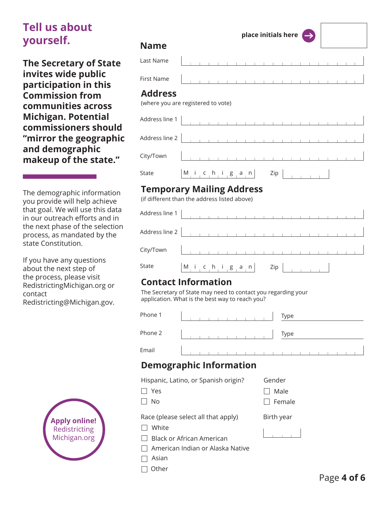# **Tell us about yourself.**

**The Secretary of State invites wide public participation in this Commission from communities across Michigan. Potential commissioners should "mirror the geographic and demographic makeup of the state."**

The demographic information you provide will help achieve that goal. We will use this data in our outreach efforts and in the next phase of the selection process, as mandated by the state Constitution.

If you have any questions about the next step of the process, please visit RedistrictingMichigan.org or contact Redistricting@Michigan.gov.



#### **Name**

| Last Name |  |  |  |  |  |  |  |  |  |  |
|-----------|--|--|--|--|--|--|--|--|--|--|
|           |  |  |  |  |  |  |  |  |  |  |

#### **Address**

First Name

(where you are registered to vote)

| $City/ Town$ $\Big\ $ $\Big\ $ $\Big\ $ $\Big\ $ $\Big\ $ $\Big\ $ $\Big\ $ $\Big\ $ $\Big\ $ $\Big\ $ $\Big\ $ $\Big\ $ $\Big\ $ $\Big\ $ |  |  |  |  |  |  |  |  |  |  |  |
|--------------------------------------------------------------------------------------------------------------------------------------------|--|--|--|--|--|--|--|--|--|--|--|
| State $ M_i  c_h i g_a n $ Zip $ $                                                                                                         |  |  |  |  |  |  |  |  |  |  |  |

### **Temporary Mailing Address**

(if different than the address listed above)

| Address line 1 $\begin{array}{ c c c c c }\n\hline\n\end{array}$ |  |                                        |  |  |  |  |  |  |  |  |  |
|------------------------------------------------------------------|--|----------------------------------------|--|--|--|--|--|--|--|--|--|
| Address line 2 $\vert$                                           |  |                                        |  |  |  |  |  |  |  |  |  |
| City/Town                                                        |  | the control of the control of the con- |  |  |  |  |  |  |  |  |  |
| $ M_i $ i c h i g a n $ Zip $<br><b>State</b>                    |  |                                        |  |  |  |  |  |  |  |  |  |

### **Contact Information**

The Secretary of State may need to contact you regarding your application. What is the best way to reach you?

| Phone 1 |  |  |  |  |  |  | Type |  |  |  |  |
|---------|--|--|--|--|--|--|------|--|--|--|--|
| Phone 2 |  |  |  |  |  |  | Type |  |  |  |  |
| Email   |  |  |  |  |  |  |      |  |  |  |  |

## **Demographic Information**

Hispanic, Latino, or Spanish origin?

- Yes
- $\Box$  No

Race (please select all that apply)

- $\Box$  White
- □ Black or African American
- $\Box$  American Indian or Alaska Native

 $\Box$  Asian

 $\Box$  Other

Gender

 $\Box$  Male

 $\Box$  Female

Birth year

**place initials here**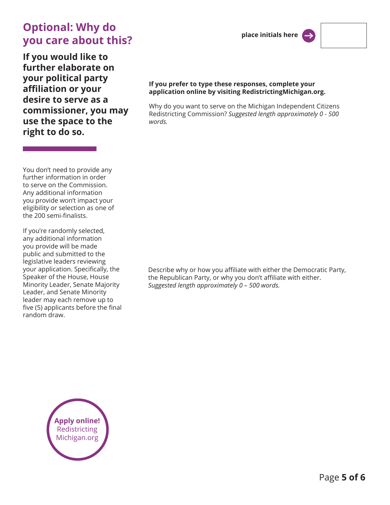# **Optional: Why do you care about this?**

**If you would like to further elaborate on your political party affiliation or your desire to serve as a commissioner, you may use the space to the right to do so.** 

#### **place initials here**



#### **If you prefer to type these responses, complete your application online by visiting RedistrictingMichigan.org.**

Why do you want to serve on the Michigan Independent Citizens Redistricting Commission? *Suggested length approximately 0 - 500 words.*

You don't need to provide any further information in order to serve on the Commission. Any additional information you provide won't impact your eligibility or selection as one of the 200 semi-finalists.

If you're randomly selected, any additional information you provide will be made public and submitted to the legislative leaders reviewing your application. Specifically, the Speaker of the House, House Minority Leader, Senate Majority Leader, and Senate Minority leader may each remove up to five (5) applicants before the final random draw.

Describe why or how you affiliate with either the Democratic Party, the Republican Party, or why you don't affiliate with either. *Suggested length approximately 0 – 500 words.* 

**Apply online!** Redistricting Michigan.org